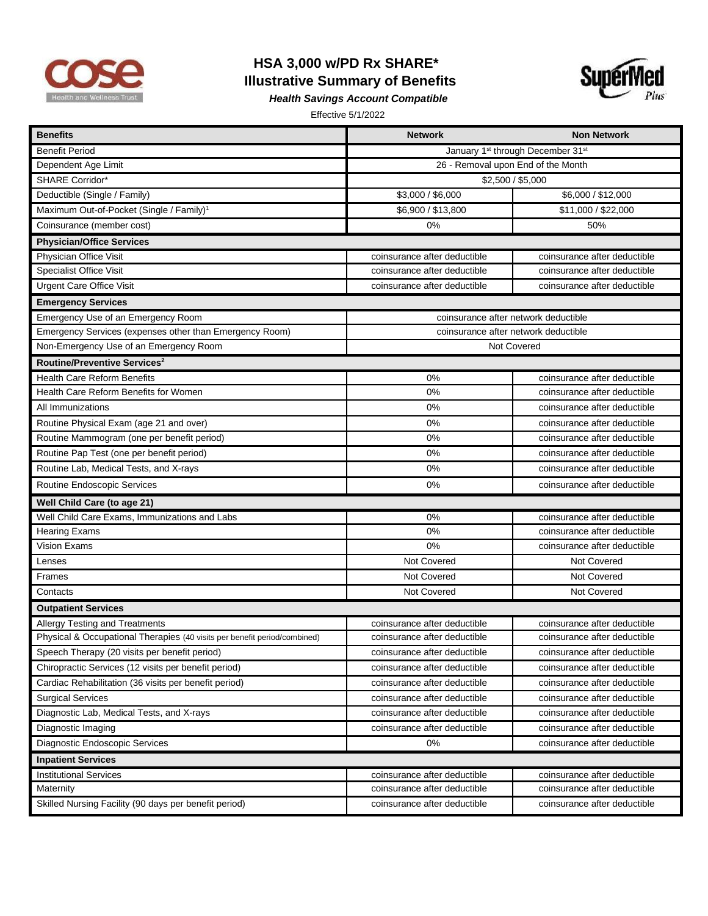

## **HSA 3,000 w/PD Rx SHARE\* Illustrative Summary of Benefits**



*Health Savings Account Compatible* 

Effective 5/1/2022

| <b>Benefits</b>                                                           | <b>Network</b>                       | <b>Non Network</b>           |  |
|---------------------------------------------------------------------------|--------------------------------------|------------------------------|--|
| <b>Benefit Period</b>                                                     | January 1st through December 31st    |                              |  |
| Dependent Age Limit                                                       | 26 - Removal upon End of the Month   |                              |  |
| SHARE Corridor*                                                           | \$2,500 / \$5,000                    |                              |  |
| Deductible (Single / Family)                                              | \$3,000 / \$6,000                    | \$6,000 / \$12,000           |  |
| Maximum Out-of-Pocket (Single / Family) <sup>1</sup>                      | \$6,900 / \$13,800                   | \$11,000 / \$22,000          |  |
| Coinsurance (member cost)                                                 | 0%                                   | 50%                          |  |
| <b>Physician/Office Services</b>                                          |                                      |                              |  |
| Physician Office Visit                                                    | coinsurance after deductible         | coinsurance after deductible |  |
| <b>Specialist Office Visit</b>                                            | coinsurance after deductible         | coinsurance after deductible |  |
| <b>Urgent Care Office Visit</b>                                           | coinsurance after deductible         | coinsurance after deductible |  |
| <b>Emergency Services</b>                                                 |                                      |                              |  |
| Emergency Use of an Emergency Room                                        | coinsurance after network deductible |                              |  |
| Emergency Services (expenses other than Emergency Room)                   | coinsurance after network deductible |                              |  |
| Non-Emergency Use of an Emergency Room                                    | Not Covered                          |                              |  |
| Routine/Preventive Services <sup>2</sup>                                  |                                      |                              |  |
| <b>Health Care Reform Benefits</b>                                        | 0%                                   | coinsurance after deductible |  |
| Health Care Reform Benefits for Women                                     | 0%                                   | coinsurance after deductible |  |
| All Immunizations                                                         | 0%                                   | coinsurance after deductible |  |
| Routine Physical Exam (age 21 and over)                                   | 0%                                   | coinsurance after deductible |  |
| Routine Mammogram (one per benefit period)                                | 0%                                   | coinsurance after deductible |  |
| Routine Pap Test (one per benefit period)                                 | 0%                                   | coinsurance after deductible |  |
| Routine Lab, Medical Tests, and X-rays                                    | 0%                                   | coinsurance after deductible |  |
| Routine Endoscopic Services                                               | 0%                                   | coinsurance after deductible |  |
| Well Child Care (to age 21)                                               |                                      |                              |  |
| Well Child Care Exams, Immunizations and Labs                             | 0%                                   | coinsurance after deductible |  |
| <b>Hearing Exams</b>                                                      | 0%                                   | coinsurance after deductible |  |
| <b>Vision Exams</b>                                                       | 0%                                   | coinsurance after deductible |  |
| Lenses                                                                    | Not Covered                          | Not Covered                  |  |
| Frames                                                                    | Not Covered                          | Not Covered                  |  |
| Contacts                                                                  | Not Covered                          | Not Covered                  |  |
| <b>Outpatient Services</b>                                                |                                      |                              |  |
| Allergy Testing and Treatments                                            | coinsurance after deductible         | coinsurance after deductible |  |
| Physical & Occupational Therapies (40 visits per benefit period/combined) | coinsurance after deductible         | coinsurance after deductible |  |
| Speech Therapy (20 visits per benefit period)                             | coinsurance after deductible         | coinsurance after deductible |  |
| Chiropractic Services (12 visits per benefit period)                      | coinsurance after deductible         | coinsurance after deductible |  |
| Cardiac Rehabilitation (36 visits per benefit period)                     | coinsurance after deductible         | coinsurance after deductible |  |
| <b>Surgical Services</b>                                                  | coinsurance after deductible         | coinsurance after deductible |  |
| Diagnostic Lab, Medical Tests, and X-rays                                 | coinsurance after deductible         | coinsurance after deductible |  |
| Diagnostic Imaging                                                        | coinsurance after deductible         | coinsurance after deductible |  |
| Diagnostic Endoscopic Services                                            | $0\%$                                | coinsurance after deductible |  |
| <b>Inpatient Services</b>                                                 |                                      |                              |  |
| <b>Institutional Services</b>                                             | coinsurance after deductible         | coinsurance after deductible |  |
| Maternity                                                                 | coinsurance after deductible         | coinsurance after deductible |  |
| Skilled Nursing Facility (90 days per benefit period)                     | coinsurance after deductible         | coinsurance after deductible |  |